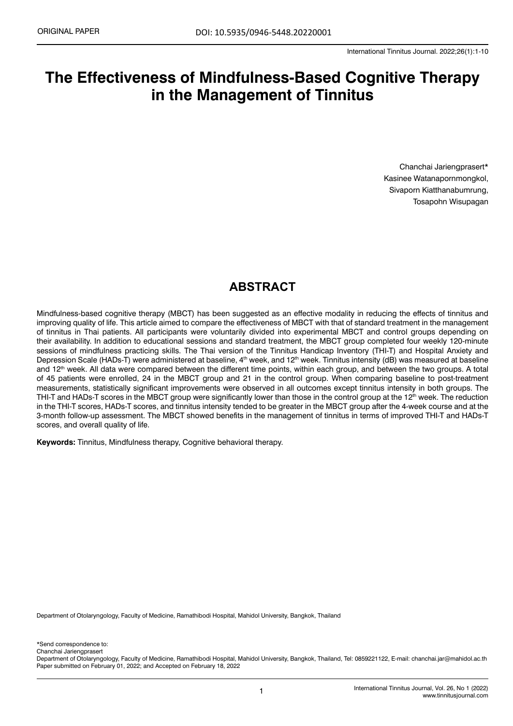# **The Effectiveness of Mindfulness-Based Cognitive Therapy in the Management of Tinnitus**

Chanchai Jariengprasert\* Kasinee Watanapornmongkol, Sivaporn Kiatthanabumrung, Tosapohn Wisupagan

# **ABSTRACT**

Mindfulness-based cognitive therapy (MBCT) has been suggested as an effective modality in reducing the effects of tinnitus and improving quality of life. This article aimed to compare the effectiveness of MBCT with that of standard treatment in the management of tinnitus in Thai patients. All participants were voluntarily divided into experimental MBCT and control groups depending on their availability. In addition to educational sessions and standard treatment, the MBCT group completed four weekly 120-minute sessions of mindfulness practicing skills. The Thai version of the Tinnitus Handicap Inventory (THI-T) and Hospital Anxiety and Depression Scale (HADs-T) were administered at baseline, 4<sup>th</sup> week, and 12<sup>th</sup> week. Tinnitus intensity (dB) was measured at baseline and 12<sup>th</sup> week. All data were compared between the different time points, within each group, and between the two groups. A total of 45 patients were enrolled, 24 in the MBCT group and 21 in the control group. When comparing baseline to post-treatment measurements, statistically significant improvements were observed in all outcomes except tinnitus intensity in both groups. The THI-T and HADs-T scores in the MBCT group were significantly lower than those in the control group at the 12<sup>th</sup> week. The reduction in the THI-T scores, HADs-T scores, and tinnitus intensity tended to be greater in the MBCT group after the 4-week course and at the 3-month follow-up assessment. The MBCT showed benefits in the management of tinnitus in terms of improved THI-T and HADs-T scores, and overall quality of life.

**Keywords:** Tinnitus, Mindfulness therapy, Cognitive behavioral therapy.

Department of Otolaryngology, Faculty of Medicine, Ramathibodi Hospital, Mahidol University, Bangkok, Thailand

\*Send correspondence to: Chanchai Jariengprasert

Department of Otolaryngology, Faculty of Medicine, Ramathibodi Hospital, Mahidol University, Bangkok, Thailand, Tel: 0859221122, E-mail: [chanchai.jar@mahidol.ac.th](mailto:chanchai.jar@mahidol.ac.th) Paper submitted on February 01, 2022; and Accepted on February 18, 2022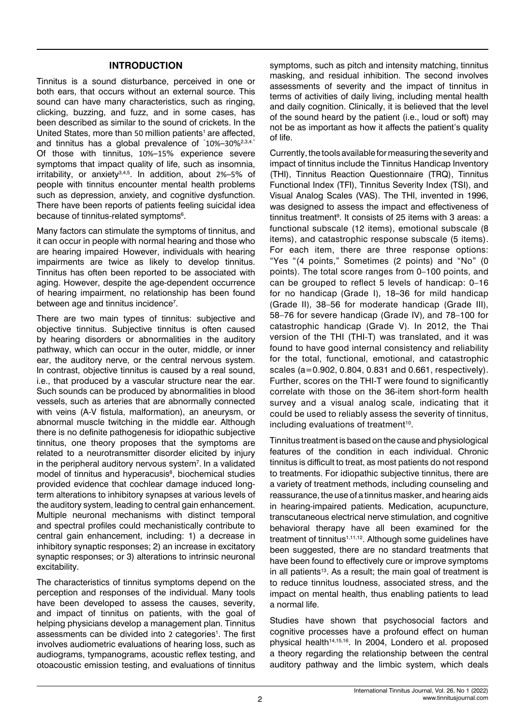#### **INTRODUCTION**

Tinnitus is a sound disturbance, perceived in one or both ears, that occurs without an external source. This sound can have many characteristics, such as ringing, clicking, buzzing, and fuzz, and in some cases, has been described as similar to the sound of crickets. In the United States, more than 50 million patients<sup>1</sup> are affected. and tinnitus has a global prevalence of "10%–30%<sup>2,3,4."</sup> Of those with tinnitus, 10%–15% experience severe symptoms that impact quality of life, such as insomnia, irritability, or anxiety3,4,5. In addition, about 2%–5% of people with tinnitus encounter mental health problems such as depression, anxiety, and cognitive dysfunction. There have been reports of patients feeling suicidal idea because of tinnitus-related symptoms<sup>6</sup>.

Many factors can stimulate the symptoms of tinnitus, and it can occur in people with normal hearing and those who are hearing impaired However, individuals with hearing impairments are twice as likely to develop tinnitus. Tinnitus has often been reported to be associated with aging. However, despite the age-dependent occurrence of hearing impairment, no relationship has been found between age and tinnitus incidence<sup>7</sup>.

There are two main types of tinnitus: subjective and objective tinnitus. Subjective tinnitus is often caused by hearing disorders or abnormalities in the auditory pathway, which can occur in the outer, middle, or inner ear, the auditory nerve, or the central nervous system. In contrast, objective tinnitus is caused by a real sound, i.e., that produced by a vascular structure near the ear. Such sounds can be produced by abnormalities in blood vessels, such as arteries that are abnormally connected with veins (A-V fistula, malformation), an aneurysm, or abnormal muscle twitching in the middle ear. Although there is no definite pathogenesis for idiopathic subjective tinnitus, one theory proposes that the symptoms are related to a neurotransmitter disorder elicited by injury in the peripheral auditory nervous system<sup>7</sup>. In a validated model of tinnitus and hyperacusis<sup>8</sup>, biochemical studies provided evidence that cochlear damage induced longterm alterations to inhibitory synapses at various levels of the auditory system, leading to central gain enhancement. Multiple neuronal mechanisms with distinct temporal and spectral profiles could mechanistically contribute to central gain enhancement, including: 1) a decrease in inhibitory synaptic responses; 2) an increase in excitatory synaptic responses; or 3) alterations to intrinsic neuronal excitability.

The characteristics of tinnitus symptoms depend on the perception and responses of the individual. Many tools have been developed to assess the causes, severity, and impact of tinnitus on patients, with the goal of helping physicians develop a management plan. Tinnitus assessments can be divided into 2 categories<sup>1</sup>. The first involves audiometric evaluations of hearing loss, such as audiograms, tympanograms, acoustic reflex testing, and otoacoustic emission testing, and evaluations of tinnitus symptoms, such as pitch and intensity matching, tinnitus masking, and residual inhibition. The second involves assessments of severity and the impact of tinnitus in terms of activities of daily living, including mental health and daily cognition. Clinically, it is believed that the level of the sound heard by the patient (i.e., loud or soft) may not be as important as how it affects the patient's quality of life.

Currently, the tools available for measuring the severity and impact of tinnitus include the Tinnitus Handicap Inventory (THI), Tinnitus Reaction Questionnaire (TRQ), Tinnitus Functional Index (TFI), Tinnitus Severity Index (TSI), and Visual Analog Scales (VAS). The THI, invented in 1996, was designed to assess the impact and effectiveness of tinnitus treatment<sup>9</sup>. It consists of 25 items with 3 areas: a functional subscale (12 items), emotional subscale (8 items), and catastrophic response subscale (5 items). For each item, there are three response options: "Yes "(4 points," Sometimes (2 points) and "No" (0 points). The total score ranges from 0–100 points, and can be grouped to reflect 5 levels of handicap: 0–16 for no handicap (Grade I), 18–36 for mild handicap (Grade II), 38–56 for moderate handicap (Grade III), 58–76 for severe handicap (Grade IV), and 78–100 for catastrophic handicap (Grade V). In 2012, the Thai version of the THI (THI-T) was translated, and it was found to have good internal consistency and reliability for the total, functional, emotional, and catastrophic scales (a=0.902, 0.804, 0.831 and 0.661, respectively). Further, scores on the THI-T were found to significantly correlate with those on the 36-item short-form health survey and a visual analog scale, indicating that it could be used to reliably assess the severity of tinnitus, including evaluations of treatment<sup>10</sup>.

Tinnitus treatment is based on the cause and physiological features of the condition in each individual. Chronic tinnitus is difficult to treat, as most patients do not respond to treatments. For idiopathic subjective tinnitus, there are a variety of treatment methods, including counseling and reassurance, the use of a tinnitus masker, and hearing aids in hearing-impaired patients. Medication, acupuncture, transcutaneous electrical nerve stimulation, and cognitive behavioral therapy have all been examined for the treatment of tinnitus<sup>1,11,12</sup>. Although some guidelines have been suggested, there are no standard treatments that have been found to effectively cure or improve symptoms in all patients<sup>13</sup>. As a result; the main goal of treatment is to reduce tinnitus loudness, associated stress, and the impact on mental health, thus enabling patients to lead a normal life.

Studies have shown that psychosocial factors and cognitive processes have a profound effect on human physical health<sup>14,15,16</sup>. In 2004, Londero et al. proposed a theory regarding the relationship between the central auditory pathway and the limbic system, which deals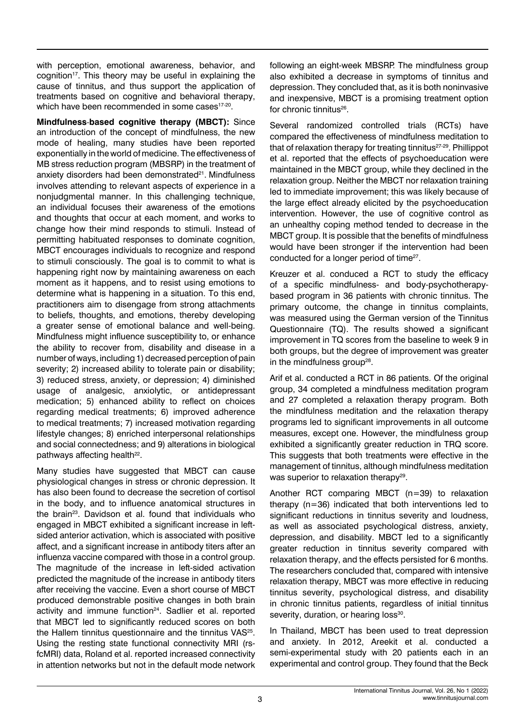with perception, emotional awareness, behavior, and cognition<sup>17</sup>. This theory may be useful in explaining the cause of tinnitus, and thus support the application of treatments based on cognitive and behavioral therapy, which have been recommended in some cases<sup>17-20</sup>.

**Mindfulness**-**based cognitive therapy (MBCT):** Since an introduction of the concept of mindfulness, the new mode of healing, many studies have been reported exponentially in the world of medicine. The effectiveness of MB stress reduction program (MBSRP) in the treatment of anxiety disorders had been demonstrated<sup>21</sup>. Mindfulness involves attending to relevant aspects of experience in a nonjudgmental manner. In this challenging technique, an individual focuses their awareness of the emotions and thoughts that occur at each moment, and works to change how their mind responds to stimuli. Instead of permitting habituated responses to dominate cognition, MBCT encourages individuals to recognize and respond to stimuli consciously. The goal is to commit to what is happening right now by maintaining awareness on each moment as it happens, and to resist using emotions to determine what is happening in a situation. To this end, practitioners aim to disengage from strong attachments to beliefs, thoughts, and emotions, thereby developing a greater sense of emotional balance and well-being. Mindfulness might influence susceptibility to, or enhance the ability to recover from, disability and disease in a number of ways, including 1) decreased perception of pain severity; 2) increased ability to tolerate pain or disability; 3) reduced stress, anxiety, or depression; 4) diminished usage of analgesic, anxiolytic, or antidepressant medication; 5) enhanced ability to reflect on choices regarding medical treatments; 6) improved adherence to medical treatments; 7) increased motivation regarding lifestyle changes; 8) enriched interpersonal relationships and social connectedness; and 9) alterations in biological pathways affecting health<sup>22</sup>.

Many studies have suggested that MBCT can cause physiological changes in stress or chronic depression. It has also been found to decrease the secretion of cortisol in the body, and to influence anatomical structures in the brain<sup>23</sup>. Davidson et al. found that individuals who engaged in MBCT exhibited a significant increase in leftsided anterior activation, which is associated with positive affect, and a significant increase in antibody titers after an influenza vaccine compared with those in a control group. The magnitude of the increase in left-sided activation predicted the magnitude of the increase in antibody titers after receiving the vaccine. Even a short course of MBCT produced demonstrable positive changes in both brain activity and immune function<sup>24</sup>. Sadlier et al. reported that MBCT led to significantly reduced scores on both the Hallem tinnitus questionnaire and the tinnitus VAS<sup>25</sup>. Using the resting state functional connectivity MRI (rsfcMRI) data, Roland et al. reported increased connectivity in attention networks but not in the default mode network following an eight-week MBSRP. The mindfulness group also exhibited a decrease in symptoms of tinnitus and depression. They concluded that, as it is both noninvasive and inexpensive, MBCT is a promising treatment option for chronic tinnitus<sup>26</sup>.

Several randomized controlled trials (RCTs) have compared the effectiveness of mindfulness meditation to that of relaxation therapy for treating tinnitus $27-29$ . Phillippot et al. reported that the effects of psychoeducation were maintained in the MBCT group, while they declined in the relaxation group. Neither the MBCT nor relaxation training led to immediate improvement; this was likely because of the large effect already elicited by the psychoeducation intervention. However, the use of cognitive control as an unhealthy coping method tended to decrease in the MBCT group. It is possible that the benefits of mindfulness would have been stronger if the intervention had been conducted for a longer period of time<sup>27</sup>.

Kreuzer et al. conduced a RCT to study the efficacy of a specific mindfulness- and body-psychotherapybased program in 36 patients with chronic tinnitus. The primary outcome, the change in tinnitus complaints, was measured using the German version of the Tinnitus Questionnaire (TQ). The results showed a significant improvement in TQ scores from the baseline to week 9 in both groups, but the degree of improvement was greater in the mindfulness group $28$ .

Arif et al. conducted a RCT in 86 patients. Of the original group, 34 completed a mindfulness meditation program and 27 completed a relaxation therapy program. Both the mindfulness meditation and the relaxation therapy programs led to significant improvements in all outcome measures, except one. However, the mindfulness group exhibited a significantly greater reduction in TRQ score. This suggests that both treatments were effective in the management of tinnitus, although mindfulness meditation was superior to relaxation therapy<sup>29</sup>.

Another RCT comparing MBCT (n=39) to relaxation therapy (n=36) indicated that both interventions led to significant reductions in tinnitus severity and loudness, as well as associated psychological distress, anxiety, depression, and disability. MBCT led to a significantly greater reduction in tinnitus severity compared with relaxation therapy, and the effects persisted for 6 months. The researchers concluded that, compared with intensive relaxation therapy, MBCT was more effective in reducing tinnitus severity, psychological distress, and disability in chronic tinnitus patients, regardless of initial tinnitus severity, duration, or hearing loss<sup>30</sup>.

In Thailand, MBCT has been used to treat depression and anxiety. In 2012, Areekit et al. conducted a semi-experimental study with 20 patients each in an experimental and control group. They found that the Beck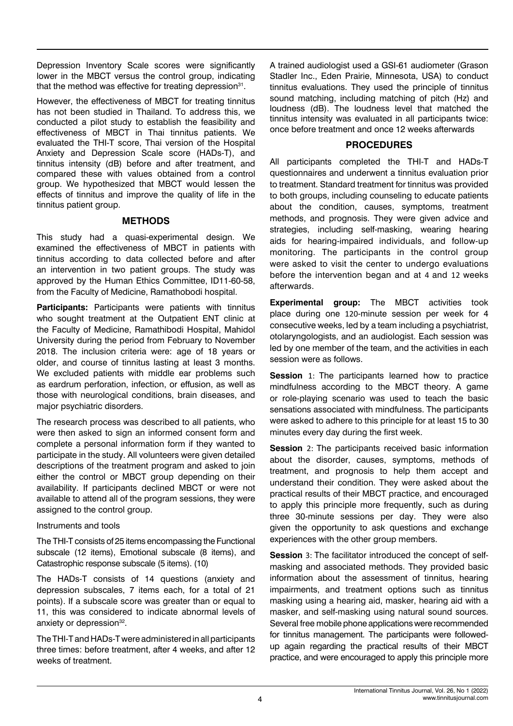Depression Inventory Scale scores were significantly lower in the MBCT versus the control group, indicating that the method was effective for treating depression $31$ .

However, the effectiveness of MBCT for treating tinnitus has not been studied in Thailand. To address this, we conducted a pilot study to establish the feasibility and effectiveness of MBCT in Thai tinnitus patients. We evaluated the THI-T score, Thai version of the Hospital Anxiety and Depression Scale score (HADs-T), and tinnitus intensity (dB) before and after treatment, and compared these with values obtained from a control group. We hypothesized that MBCT would lessen the effects of tinnitus and improve the quality of life in the tinnitus patient group.

#### **METHODS**

This study had a quasi-experimental design. We examined the effectiveness of MBCT in patients with tinnitus according to data collected before and after an intervention in two patient groups. The study was approved by the Human Ethics Committee, ID11-60-58, from the Faculty of Medicine, Ramathobodi hospital.

**Participants:** Participants were patients with tinnitus who sought treatment at the Outpatient ENT clinic at the Faculty of Medicine, Ramathibodi Hospital, Mahidol University during the period from February to November 2018. The inclusion criteria were: age of 18 years or older, and course of tinnitus lasting at least 3 months. We excluded patients with middle ear problems such as eardrum perforation, infection, or effusion, as well as those with neurological conditions, brain diseases, and major psychiatric disorders.

The research process was described to all patients, who were then asked to sign an informed consent form and complete a personal information form if they wanted to participate in the study. All volunteers were given detailed descriptions of the treatment program and asked to join either the control or MBCT group depending on their availability. If participants declined MBCT or were not available to attend all of the program sessions, they were assigned to the control group.

# Instruments and tools

The THI-T consists of 25 items encompassing the Functional subscale (12 items), Emotional subscale (8 items), and Catastrophic response subscale (5 items). (10)

The HADs-T consists of 14 questions (anxiety and depression subscales, 7 items each, for a total of 21 points). If a subscale score was greater than or equal to 11, this was considered to indicate abnormal levels of anxiety or depression<sup>32</sup>.

The THI-T and HADs-T were administered in all participants three times: before treatment, after 4 weeks, and after 12 weeks of treatment.

A trained audiologist used a GSI-61 audiometer (Grason Stadler Inc., Eden Prairie, Minnesota, USA) to conduct tinnitus evaluations. They used the principle of tinnitus sound matching, including matching of pitch (Hz) and loudness (dB). The loudness level that matched the tinnitus intensity was evaluated in all participants twice: once before treatment and once 12 weeks afterwards

# **PROCEDURES**

All participants completed the THI-T and HADs-T questionnaires and underwent a tinnitus evaluation prior to treatment. Standard treatment for tinnitus was provided to both groups, including counseling to educate patients about the condition, causes, symptoms, treatment methods, and prognosis. They were given advice and strategies, including self-masking, wearing hearing aids for hearing-impaired individuals, and follow-up monitoring. The participants in the control group were asked to visit the center to undergo evaluations before the intervention began and at 4 and 12 weeks afterwards.

**Experimental group:** The MBCT activities took place during one 120-minute session per week for 4 consecutive weeks, led by a team including a psychiatrist, otolaryngologists, and an audiologist. Each session was led by one member of the team, and the activities in each session were as follows.

**Session** 1: The participants learned how to practice mindfulness according to the MBCT theory. A game or role-playing scenario was used to teach the basic sensations associated with mindfulness. The participants were asked to adhere to this principle for at least 15 to 30 minutes every day during the first week.

**Session** 2: The participants received basic information about the disorder, causes, symptoms, methods of treatment, and prognosis to help them accept and understand their condition. They were asked about the practical results of their MBCT practice, and encouraged to apply this principle more frequently, such as during three 30-minute sessions per day. They were also given the opportunity to ask questions and exchange experiences with the other group members.

**Session** 3: The facilitator introduced the concept of selfmasking and associated methods. They provided basic information about the assessment of tinnitus, hearing impairments, and treatment options such as tinnitus masking using a hearing aid, masker, hearing aid with a masker, and self-masking using natural sound sources. Several free mobile phone applications were recommended for tinnitus management. The participants were followedup again regarding the practical results of their MBCT practice, and were encouraged to apply this principle more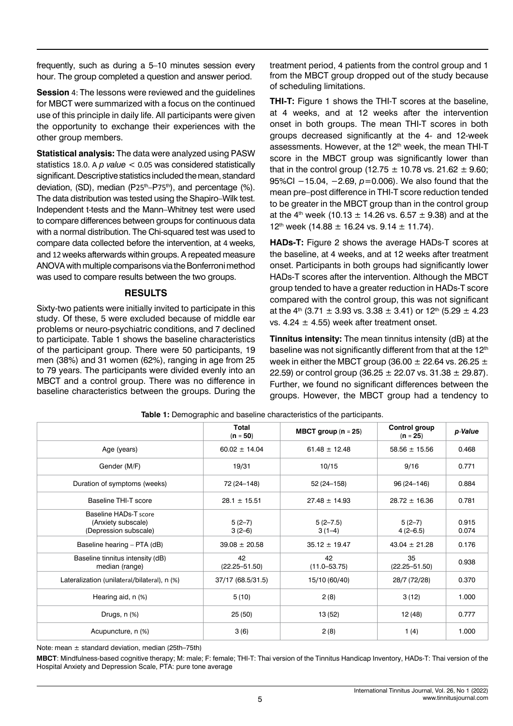frequently, such as during a 5–10 minutes session every hour. The group completed a question and answer period.

**Session** 4: The lessons were reviewed and the guidelines for MBCT were summarized with a focus on the continued use of this principle in daily life. All participants were given the opportunity to exchange their experiences with the other group members.

**Statistical analysis:** The data were analyzed using PASW statistics 18.0. A *p value* < 0.05 was considered statistically significant. Descriptive statistics included the mean, standard deviation,  $(SD)$ , median  $(P25<sup>th</sup>-P75<sup>th</sup>)$ , and percentage  $(%)$ . The data distribution was tested using the Shapiro–Wilk test. Independent t-tests and the Mann–Whitney test were used to compare differences between groups for continuous data with a normal distribution. The Chi-squared test was used to compare data collected before the intervention, at 4 weeks, and 12 weeks afterwards within groups. A repeated measure ANOVA with multiple comparisons via the Bonferroni method was used to compare results between the two groups.

#### **RESULTS**

Sixty-two patients were initially invited to participate in this study. Of these, 5 were excluded because of middle ear problems or neuro-psychiatric conditions, and 7 declined to participate. Table 1 shows the baseline characteristics of the participant group. There were 50 participants, 19 men (38%) and 31 women (62%), ranging in age from 25 to 79 years. The participants were divided evenly into an MBCT and a control group. There was no difference in baseline characteristics between the groups. During the

treatment period, 4 patients from the control group and 1 from the MBCT group dropped out of the study because of scheduling limitations.

**THI-T:** Figure 1 shows the THI-T scores at the baseline, at 4 weeks, and at 12 weeks after the intervention onset in both groups. The mean THI-T scores in both groups decreased significantly at the 4- and 12-week assessments. However, at the 12<sup>th</sup> week, the mean THI-T score in the MBCT group was significantly lower than that in the control group (12.75  $\pm$  10.78 vs. 21.62  $\pm$  9.60; 95%CI −15.04, −2.69,  $p=0.006$ ). We also found that the mean pre–post difference in THI-T score reduction tended to be greater in the MBCT group than in the control group at the 4<sup>th</sup> week (10.13  $\pm$  14.26 vs. 6.57  $\pm$  9.38) and at the 12<sup>th</sup> week (14.88  $\pm$  16.24 vs. 9.14  $\pm$  11.74).

**HADs-T:** Figure 2 shows the average HADs-T scores at the baseline, at 4 weeks, and at 12 weeks after treatment onset. Participants in both groups had significantly lower HADs-T scores after the intervention. Although the MBCT group tended to have a greater reduction in HADs-T score compared with the control group, this was not significant at the 4<sup>th</sup> (3.71  $\pm$  3.93 vs. 3.38  $\pm$  3.41) or 12<sup>th</sup> (5.29  $\pm$  4.23 vs. 4.24  $\pm$  4.55) week after treatment onset.

**Tinnitus intensity:** The mean tinnitus intensity (dB) at the baseline was not significantly different from that at the 12<sup>th</sup> week in either the MBCT group (36.00  $\pm$  22.64 vs. 26.25  $\pm$ 22.59) or control group (36.25  $\pm$  22.07 vs. 31.38  $\pm$  29.87). Further, we found no significant differences between the groups. However, the MBCT group had a tendency to

|                                                                      | Total<br>$(n = 50)$     | MBCT group $(n = 25)$    | Control group<br>$(n = 25)$ | p-Value        |
|----------------------------------------------------------------------|-------------------------|--------------------------|-----------------------------|----------------|
| Age (years)                                                          | $60.02 \pm 14.04$       | $61.48 \pm 12.48$        | $58.56 \pm 15.56$           | 0.468          |
| Gender (M/F)                                                         | 19/31                   | 10/15                    | 9/16                        | 0.771          |
| Duration of symptoms (weeks)                                         | 72 (24-148)             | 52 (24-158)              | 96 (24-146)                 | 0.884          |
| <b>Baseline THI-T score</b>                                          | $28.1 \pm 15.51$        | $27.48 \pm 14.93$        | $28.72 \pm 16.36$           | 0.781          |
| Baseline HADs-T score<br>(Anxiety subscale)<br>(Depression subscale) | $5(2-7)$<br>$3(2-6)$    | $5(2 - 7.5)$<br>$3(1-4)$ | $5(2-7)$<br>$4(2-6.5)$      | 0.915<br>0.074 |
| Baseline hearing - PTA (dB)                                          | $39.08 \pm 20.58$       | $35.12 \pm 19.47$        | $43.04 \pm 21.28$           | 0.176          |
| Baseline tinnitus intensity (dB)<br>median (range)                   | 42<br>$(22.25 - 51.50)$ | 42<br>$(11.0 - 53.75)$   | 35<br>$(22.25 - 51.50)$     | 0.938          |
| Lateralization (unilateral/bilateral), n (%)                         | 37/17 (68.5/31.5)       | 15/10 (60/40)            | 28/7 (72/28)                | 0.370          |
| Hearing aid, n (%)                                                   | 5(10)                   | 2(8)                     | 3(12)                       | 1.000          |
| Drugs, n (%)                                                         | 25(50)                  | 13 (52)                  | 12(48)                      | 0.777          |
| Acupuncture, n (%)                                                   | 3(6)                    | 2(8)                     | 1(4)                        | 1.000          |

**Table 1:** Demographic and baseline characteristics of the participants.

Note: mean  $\pm$  standard deviation, median (25th–75th)

**MBCT**: Mindfulness-based cognitive therapy; M: male; F: female; THI-T: Thai version of the Tinnitus Handicap Inventory, HADs-T: Thai version of the Hospital Anxiety and Depression Scale, PTA: pure tone average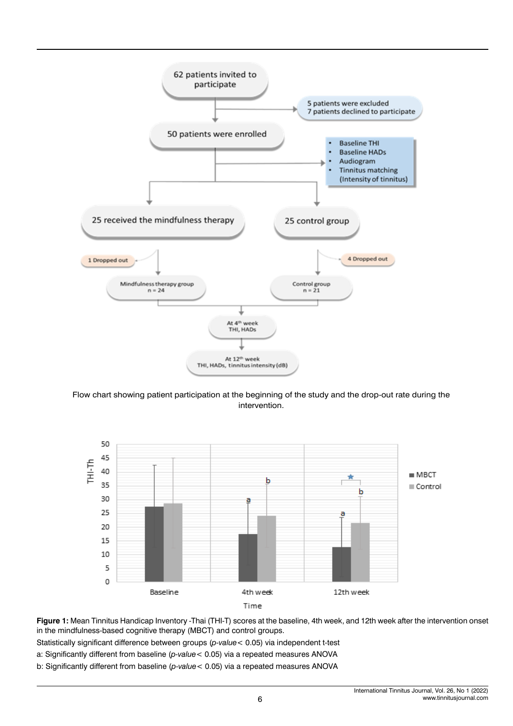

Flow chart showing patient participation at the beginning of the study and the drop-out rate during the intervention.



**Figure 1:** Mean Tinnitus Handicap Inventory -Thai (THI-T) scores at the baseline, 4th week, and 12th week after the intervention onset in the mindfulness-based cognitive therapy (MBCT) and control groups.

Statistically significant difference between groups (*p-value*< 0.05) via independent t-test

a: Significantly different from baseline (*p-value*< 0.05) via a repeated measures ANOVA

b: Significantly different from baseline (*p-value*< 0.05) via a repeated measures ANOVA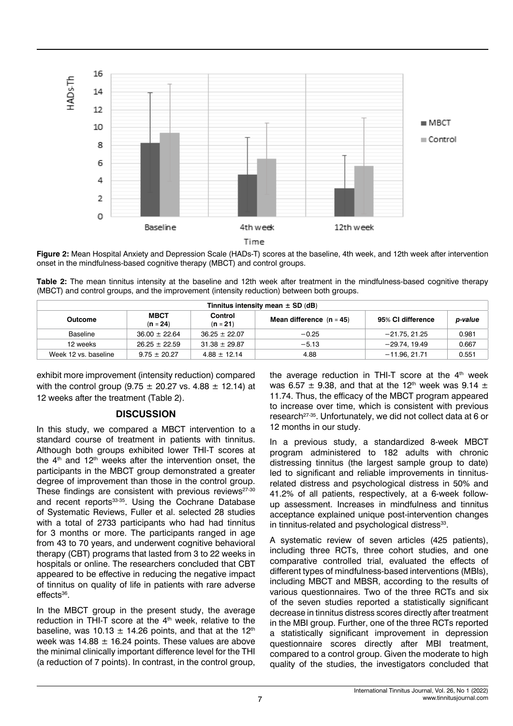

**Figure 2:** Mean Hospital Anxiety and Depression Scale (HADs-T) scores at the baseline, 4th week, and 12th week after intervention onset in the mindfulness-based cognitive therapy (MBCT) and control groups.

**Table 2:** The mean tinnitus intensity at the baseline and 12th week after treatment in the mindfulness-based cognitive therapy (MBCT) and control groups, and the improvement (intensity reduction) between both groups.

| Tinnitus intensity mean $\pm$ SD (dB) |                           |                       |                            |                   |         |  |  |  |
|---------------------------------------|---------------------------|-----------------------|----------------------------|-------------------|---------|--|--|--|
| Outcome                               | <b>MBCT</b><br>$(n = 24)$ | Control<br>$(n = 21)$ | Mean difference $(n = 45)$ | 95% CI difference | p-value |  |  |  |
| Baseline                              | $36.00 \pm 22.64$         | $36.25 \pm 22.07$     | $-0.25$                    | $-21.75.21.25$    | 0.981   |  |  |  |
| 12 weeks                              | $26.25 + 22.59$           | $31.38 \pm 29.87$     | $-5.13$                    | $-29.74.19.49$    | 0.667   |  |  |  |
| Week 12 vs. baseline                  | $9.75 + 20.27$            | $4.88 + 12.14$        | 4.88                       | $-11.96.21.71$    | 0.551   |  |  |  |

exhibit more improvement (intensity reduction) compared with the control group (9.75  $\pm$  20.27 vs. 4.88  $\pm$  12.14) at 12 weeks after the treatment (Table 2).

# **DISCUSSION**

In this study, we compared a MBCT intervention to a standard course of treatment in patients with tinnitus. Although both groups exhibited lower THI-T scores at the  $4<sup>th</sup>$  and  $12<sup>th</sup>$  weeks after the intervention onset, the participants in the MBCT group demonstrated a greater degree of improvement than those in the control group. These findings are consistent with previous reviews $27-30$ and recent reports<sup>33-35</sup>. Using the Cochrane Database of Systematic Reviews, Fuller et al. selected 28 studies with a total of 2733 participants who had had tinnitus for 3 months or more. The participants ranged in age from 43 to 70 years, and underwent cognitive behavioral therapy (CBT) programs that lasted from 3 to 22 weeks in hospitals or online. The researchers concluded that CBT appeared to be effective in reducing the negative impact of tinnitus on quality of life in patients with rare adverse  $effects<sup>36</sup>$ .

In the MBCT group in the present study, the average reduction in THI-T score at the 4<sup>th</sup> week, relative to the baseline, was 10.13  $\pm$  14.26 points, and that at the 12<sup>th</sup> week was  $14.88 \pm 16.24$  points. These values are above the minimal clinically important difference level for the THI (a reduction of 7 points). In contrast, in the control group,

the average reduction in THI-T score at the  $4<sup>th</sup>$  week was 6.57  $\pm$  9.38, and that at the 12<sup>th</sup> week was 9.14  $\pm$ 11.74. Thus, the efficacy of the MBCT program appeared to increase over time, which is consistent with previous research<sup>27-35</sup>. Unfortunately, we did not collect data at 6 or 12 months in our study.

In a previous study, a standardized 8-week MBCT program administered to 182 adults with chronic distressing tinnitus (the largest sample group to date) led to significant and reliable improvements in tinnitusrelated distress and psychological distress in 50% and 41.2% of all patients, respectively, at a 6-week followup assessment. Increases in mindfulness and tinnitus acceptance explained unique post-intervention changes in tinnitus-related and psychological distress<sup>33</sup>.

A systematic review of seven articles (425 patients), including three RCTs, three cohort studies, and one comparative controlled trial, evaluated the effects of different types of mindfulness-based interventions (MBIs), including MBCT and MBSR, according to the results of various questionnaires. Two of the three RCTs and six of the seven studies reported a statistically significant decrease in tinnitus distress scores directly after treatment in the MBI group. Further, one of the three RCTs reported a statistically significant improvement in depression questionnaire scores directly after MBI treatment, compared to a control group. Given the moderate to high quality of the studies, the investigators concluded that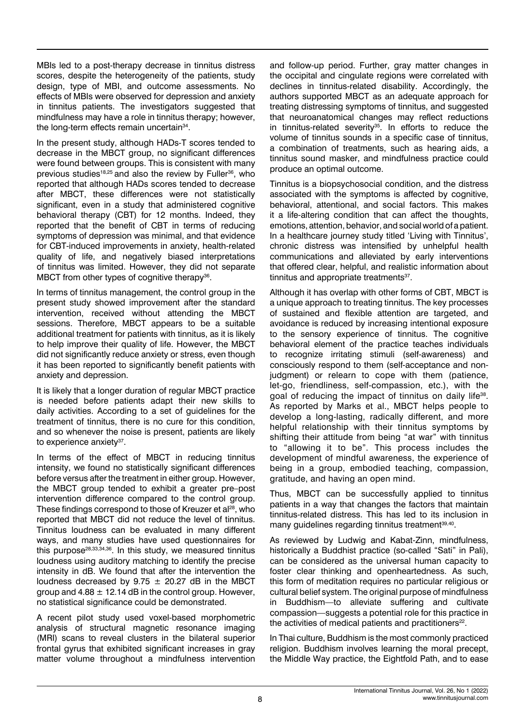MBIs led to a post-therapy decrease in tinnitus distress scores, despite the heterogeneity of the patients, study design, type of MBI, and outcome assessments. No effects of MBIs were observed for depression and anxiety in tinnitus patients. The investigators suggested that mindfulness may have a role in tinnitus therapy; however, the long-term effects remain uncertain<sup>34</sup>.

In the present study, although HADs-T scores tended to decrease in the MBCT group, no significant differences were found between groups. This is consistent with many previous studies<sup>18,25</sup> and also the review by Fuller<sup>36</sup>, who reported that although HADs scores tended to decrease after MBCT, these differences were not statistically significant, even in a study that administered cognitive behavioral therapy (CBT) for 12 months. Indeed, they reported that the benefit of CBT in terms of reducing symptoms of depression was minimal, and that evidence for CBT-induced improvements in anxiety, health-related quality of life, and negatively biased interpretations of tinnitus was limited. However, they did not separate MBCT from other types of cognitive therapy $36$ .

In terms of tinnitus management, the control group in the present study showed improvement after the standard intervention, received without attending the MBCT sessions. Therefore, MBCT appears to be a suitable additional treatment for patients with tinnitus, as it is likely to help improve their quality of life. However, the MBCT did not significantly reduce anxiety or stress, even though it has been reported to significantly benefit patients with anxiety and depression.

It is likely that a longer duration of regular MBCT practice is needed before patients adapt their new skills to daily activities. According to a set of guidelines for the treatment of tinnitus, there is no cure for this condition, and so whenever the noise is present, patients are likely to experience anxiety<sup>37</sup>.

In terms of the effect of MBCT in reducing tinnitus intensity, we found no statistically significant differences before versus after the treatment in either group. However, the MBCT group tended to exhibit a greater pre–post intervention difference compared to the control group. These findings correspond to those of Kreuzer et al<sup>28</sup>, who reported that MBCT did not reduce the level of tinnitus. Tinnitus loudness can be evaluated in many different ways, and many studies have used questionnaires for this purpose<sup>28,33,34,36</sup>. In this study, we measured tinnitus loudness using auditory matching to identify the precise intensity in dB. We found that after the intervention the loudness decreased by 9.75  $\pm$  20.27 dB in the MBCT group and  $4.88 \pm 12.14$  dB in the control group. However, no statistical significance could be demonstrated.

A recent pilot study used voxel-based morphometric analysis of structural magnetic resonance imaging (MRI) scans to reveal clusters in the bilateral superior frontal gyrus that exhibited significant increases in gray matter volume throughout a mindfulness intervention

and follow-up period. Further, gray matter changes in the occipital and cingulate regions were correlated with declines in tinnitus-related disability. Accordingly, the authors supported MBCT as an adequate approach for treating distressing symptoms of tinnitus, and suggested that neuroanatomical changes may reflect reductions in tinnitus-related severity<sup>35</sup>. In efforts to reduce the volume of tinnitus sounds in a specific case of tinnitus, a combination of treatments, such as hearing aids, a tinnitus sound masker, and mindfulness practice could produce an optimal outcome.

Tinnitus is a biopsychosocial condition, and the distress associated with the symptoms is affected by cognitive, behavioral, attentional, and social factors. This makes it a life-altering condition that can affect the thoughts, emotions, attention, behavior, and social world of a patient. In a healthcare journey study titled 'Living with Tinnitus', chronic distress was intensified by unhelpful health communications and alleviated by early interventions that offered clear, helpful, and realistic information about tinnitus and appropriate treatments<sup>37</sup>.

Although it has overlap with other forms of CBT, MBCT is a unique approach to treating tinnitus. The key processes of sustained and flexible attention are targeted, and avoidance is reduced by increasing intentional exposure to the sensory experience of tinnitus. The cognitive behavioral element of the practice teaches individuals to recognize irritating stimuli (self-awareness) and consciously respond to them (self-acceptance and nonjudgment) or relearn to cope with them (patience, let-go, friendliness, self-compassion, etc.), with the goal of reducing the impact of tinnitus on daily life<sup>38</sup>. As reported by Marks et al., MBCT helps people to develop a long-lasting, radically different, and more helpful relationship with their tinnitus symptoms by shifting their attitude from being "at war" with tinnitus to "allowing it to be". This process includes the development of mindful awareness, the experience of being in a group, embodied teaching, compassion, gratitude, and having an open mind.

Thus, MBCT can be successfully applied to tinnitus patients in a way that changes the factors that maintain tinnitus-related distress. This has led to its inclusion in many quidelines regarding tinnitus treatment<sup>39,40</sup>.

As reviewed by Ludwig and Kabat-Zinn, mindfulness, historically a Buddhist practice (so-called "Sati" in Pali), can be considered as the universal human capacity to foster clear thinking and openheartedness. As such, this form of meditation requires no particular religious or cultural belief system. The original purpose of mindfulness in Buddhism—to alleviate suffering and cultivate compassion—suggests a potential role for this practice in the activities of medical patients and practitioners<sup>22</sup>.

In Thai culture, Buddhism is the most commonly practiced religion. Buddhism involves learning the moral precept, the Middle Way practice, the Eightfold Path, and to ease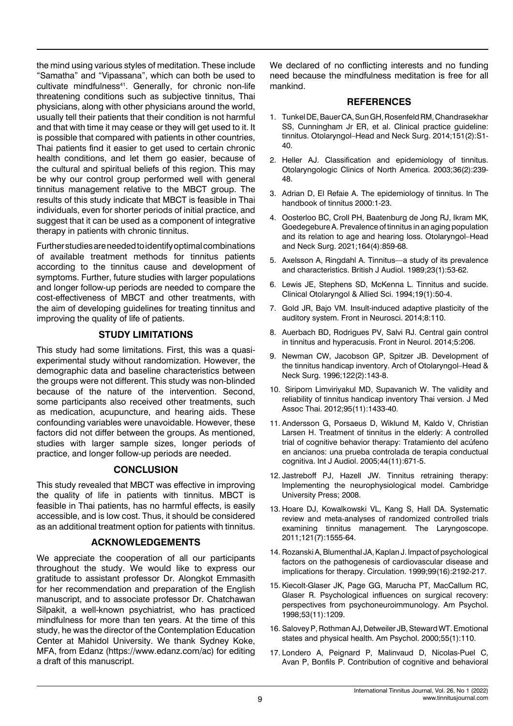the mind using various styles of meditation. These include "Samatha" and "Vipassana", which can both be used to cultivate mindfulness<sup>41</sup>. Generally, for chronic non-life threatening conditions such as subjective tinnitus, Thai physicians, along with other physicians around the world, usually tell their patients that their condition is not harmful and that with time it may cease or they will get used to it. It is possible that compared with patients in other countries, Thai patients find it easier to get used to certain chronic health conditions, and let them go easier, because of the cultural and spiritual beliefs of this region. This may be why our control group performed well with general tinnitus management relative to the MBCT group. The results of this study indicate that MBCT is feasible in Thai individuals, even for shorter periods of initial practice, and suggest that it can be used as a component of integrative therapy in patients with chronic tinnitus.

Further studies are needed to identify optimal combinations of available treatment methods for tinnitus patients according to the tinnitus cause and development of symptoms. Further, future studies with larger populations and longer follow-up periods are needed to compare the cost-effectiveness of MBCT and other treatments, with the aim of developing guidelines for treating tinnitus and improving the quality of life of patients.

# **STUDY LIMITATIONS**

This study had some limitations. First, this was a quasiexperimental study without randomization. However, the demographic data and baseline characteristics between the groups were not different. This study was non-blinded because of the nature of the intervention. Second, some participants also received other treatments, such as medication, acupuncture, and hearing aids. These confounding variables were unavoidable. However, these factors did not differ between the groups. As mentioned, studies with larger sample sizes, longer periods of practice, and longer follow-up periods are needed.

# **CONCLUSION**

This study revealed that MBCT was effective in improving the quality of life in patients with tinnitus. MBCT is feasible in Thai patients, has no harmful effects, is easily accessible, and is low cost. Thus, it should be considered as an additional treatment option for patients with tinnitus.

# **ACKNOWLEDGEMENTS**

We appreciate the cooperation of all our participants throughout the study. We would like to express our gratitude to assistant professor Dr. Alongkot Emmasith for her recommendation and preparation of the English manuscript, and to associate professor Dr. Chatchawan Silpakit, a well-known psychiatrist, who has practiced mindfulness for more than ten years. At the time of this study, he was the director of the Contemplation Education Center at Mahidol University. We thank Sydney Koke, MFA, from Edanz (https://www.edanz.com/ac) for editing a draft of this manuscript.

We declared of no conflicting interests and no funding need because the mindfulness meditation is free for all mankind.

#### **REFERENCES**

- 1. Tunkel DE, Bauer CA, Sun GH, Rosenfeld RM, Chandrasekhar SS, Cunningham Jr ER, et al. [Clinical practice guideline:](https://journals.sagepub.com/doi/full/10.1177/0194599814545325)  [tinnitus](https://journals.sagepub.com/doi/full/10.1177/0194599814545325). Otolaryngol–Head and Neck Surg. 2014;151(2):S1- 40.
- 2. Heller AJ. [Classification and epidemiology of tinnitus](https://www.oto.theclinics.com/article/S0030-6665(02)00160-3/fulltext). Otolaryngologic Clinics of North America. 2003;36(2):239- 48.
- 3. Adrian D, El Refaie A. [The epidemiology of tinnitus](https://research-information.bris.ac.uk/en/publications/the-epidemiology-of-tinnitus). In The handbook of tinnitus 2000:1-23.
- 4. Oosterloo BC, Croll PH, Baatenburg de Jong RJ, Ikram MK, Goedegebure A. [Prevalence of tinnitus in an aging population](https://journals.sagepub.com/doi/full/10.1177/0194599820957296)  [and its relation to age and hearing loss](https://journals.sagepub.com/doi/full/10.1177/0194599820957296). Otolaryngol–Head and Neck Surg. 2021;164(4):859-68.
- 5. Axelsson A, Ringdahl A. [Tinnitus—a study of its prevalence](https://www.tandfonline.com/doi/abs/10.3109/03005368909077819)  [and characteristics.](https://www.tandfonline.com/doi/abs/10.3109/03005368909077819) British J Audiol. 1989;23(1):53-62.
- 6. Lewis JE, Stephens SD, McKenna L. [Tinnitus and sucide](https://onlinelibrary.wiley.com/doi/abs/10.1111/j.1365-2273.1994.tb01147.x). Clinical Otolaryngol & Allied Sci. 1994;19(1):50-4.
- 7. Gold JR, Bajo VM. [Insult-induced adaptive plasticity of the](https://www.frontiersin.org/articles/10.3389/fnins.2014.00110/full)  [auditory system](https://www.frontiersin.org/articles/10.3389/fnins.2014.00110/full). Front in Neurosci. 2014;8:110.
- 8. Auerbach BD, Rodrigues PV, Salvi RJ. [Central gain control](https://www.frontiersin.org/articles/10.3389/fneur.2014.00206/full)  [in tinnitus and hyperacusis.](https://www.frontiersin.org/articles/10.3389/fneur.2014.00206/full) Front in Neurol. 2014;5:206.
- 9. Newman CW, Jacobson GP, Spitzer JB. Development of the tinnitus handicap inventory. Arch of Otolaryngol–Head & Neck Surg. 1996;122(2):143-8.
- 10. Siriporn Limviriyakul MD, Supavanich W. [The validity and](http://www.jmatonline.com/index.php/jmat/article/view/2175)  [reliability of tinnitus handicap inventory Thai version.](http://www.jmatonline.com/index.php/jmat/article/view/2175) J Med Assoc Thai. 2012;95(11):1433-40.
- 11. Andersson G, Porsaeus D, Wiklund M, Kaldo V, Christian Larsen H. [Treatment of tinnitus in the elderly: A controlled](https://www.tandfonline.com/doi/abs/10.1080/14992020500266720)  [trial of cognitive behavior therapy: Tratamiento del acúfeno](https://www.tandfonline.com/doi/abs/10.1080/14992020500266720)  [en ancianos: una prueba controlada de terapia conductual](https://www.tandfonline.com/doi/abs/10.1080/14992020500266720)  [cognitiva.](https://www.tandfonline.com/doi/abs/10.1080/14992020500266720) Int J Audiol. 2005;44(11):671-5.
- 12. Jastreboff PJ, Hazell JW. Tinnitus retraining therapy: Implementing the neurophysiological model. Cambridge University Press; 2008.
- 13. Hoare DJ, Kowalkowski VL, Kang S, Hall DA. [Systematic](https://onlinelibrary.wiley.com/doi/full/10.1002/lary.21825)  review and meta‐[analyses of randomized controlled trials](https://onlinelibrary.wiley.com/doi/full/10.1002/lary.21825)  [examining tinnitus management](https://onlinelibrary.wiley.com/doi/full/10.1002/lary.21825). The Laryngoscope. 2011;121(7):1555-64.
- 14. Rozanski A, Blumenthal JA, Kaplan J. [Impact of psychological](https://www.ahajournals.org/doi/full/10.1161/01.CIR.99.16.2192)  [factors on the pathogenesis of cardiovascular disease and](https://www.ahajournals.org/doi/full/10.1161/01.CIR.99.16.2192)  [implications for therapy](https://www.ahajournals.org/doi/full/10.1161/01.CIR.99.16.2192). Circulation. 1999;99(16):2192-217.
- 15. Kiecolt-Glaser JK, Page GG, Marucha PT, MacCallum RC, Glaser R. [Psychological influences on surgical recovery:](https://psycnet.apa.org/doiLanding?doi=10.1037%2F0003-066X.53.11.1209)  [perspectives from psychoneuroimmunology](https://psycnet.apa.org/doiLanding?doi=10.1037%2F0003-066X.53.11.1209). Am Psychol. 1998;53(11):1209.
- 16. Salovey P, Rothman AJ, Detweiler JB, Steward WT. [Emotional](https://psycnet.apa.org/record/2000-13324-011)  [states and physical health.](https://psycnet.apa.org/record/2000-13324-011) Am Psychol. 2000;55(1):110.
- 17. Londero A, Peignard P, Malinvaud D, Nicolas-Puel C, Avan P, Bonfils P. [Contribution of cognitive and behavioral](https://europepmc.org/article/med/15711472)